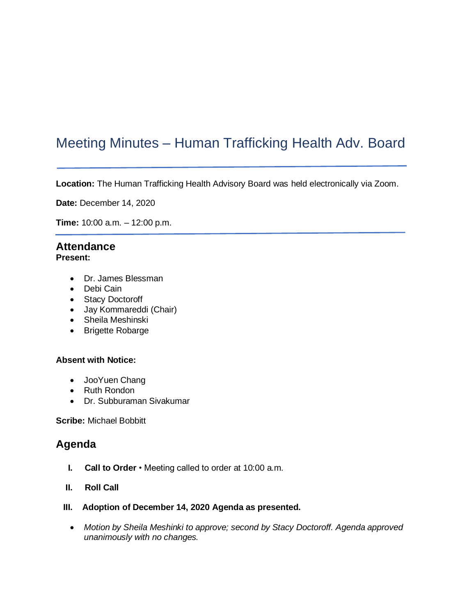# Meeting Minutes – Human Trafficking Health Adv. Board

**Location:** The Human Trafficking Health Advisory Board was held electronically via Zoom.

**Date:** December 14, 2020

**Time:** 10:00 a.m. – 12:00 p.m.

## **Attendance**

#### **Present:**

- Dr. James Blessman
- Debi Cain
- Stacy Doctoroff
- Jay Kommareddi (Chair)
- Sheila Meshinski
- Brigette Robarge

#### **Absent with Notice:**

- JooYuen Chang
- Ruth Rondon
- Dr. Subburaman Sivakumar

**Scribe:** Michael Bobbitt

### **Agenda**

- **I. Call to Order**  Meeting called to order at 10:00 a.m.
- **II. Roll Call**
- **III. Adoption of December 14, 2020 Agenda as presented.**
	- *Motion by Sheila Meshinki to approve; second by Stacy Doctoroff. Agenda approved unanimously with no changes.*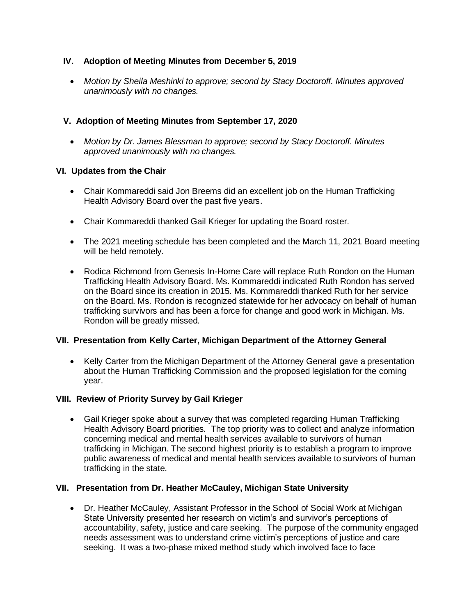#### **IV. Adoption of Meeting Minutes from December 5, 2019**

• *Motion by Sheila Meshinki to approve; second by Stacy Doctoroff. Minutes approved unanimously with no changes.* 

#### **V. Adoption of Meeting Minutes from September 17, 2020**

• *Motion by Dr. James Blessman to approve; second by Stacy Doctoroff. Minutes approved unanimously with no changes.* 

#### **VI. Updates from the Chair**

- Chair Kommareddi said Jon Breems did an excellent job on the Human Trafficking Health Advisory Board over the past five years.
- Chair Kommareddi thanked Gail Krieger for updating the Board roster.
- The 2021 meeting schedule has been completed and the March 11, 2021 Board meeting will be held remotely.
- Rodica Richmond from Genesis In-Home Care will replace Ruth Rondon on the Human Trafficking Health Advisory Board. Ms. Kommareddi indicated Ruth Rondon has served on the Board since its creation in 2015. Ms. Kommareddi thanked Ruth for her service on the Board. Ms. Rondon is recognized statewide for her advocacy on behalf of human trafficking survivors and has been a force for change and good work in Michigan. Ms. Rondon will be greatly missed.

#### **VII. Presentation from Kelly Carter, Michigan Department of the Attorney General**

• Kelly Carter from the Michigan Department of the Attorney General gave a presentation about the Human Trafficking Commission and the proposed legislation for the coming year.

#### **VIII. Review of Priority Survey by Gail Krieger**

• Gail Krieger spoke about a survey that was completed regarding Human Trafficking Health Advisory Board priorities. The top priority was to collect and analyze information concerning medical and mental health services available to survivors of human trafficking in Michigan. The second highest priority is to establish a program to improve public awareness of medical and mental health services available to survivors of human trafficking in the state.

#### **VII. Presentation from Dr. Heather McCauley, Michigan State University**

• Dr. Heather McCauley, Assistant Professor in the School of Social Work at Michigan State University presented her research on victim's and survivor's perceptions of accountability, safety, justice and care seeking. The purpose of the community engaged needs assessment was to understand crime victim's perceptions of justice and care seeking. It was a two-phase mixed method study which involved face to face